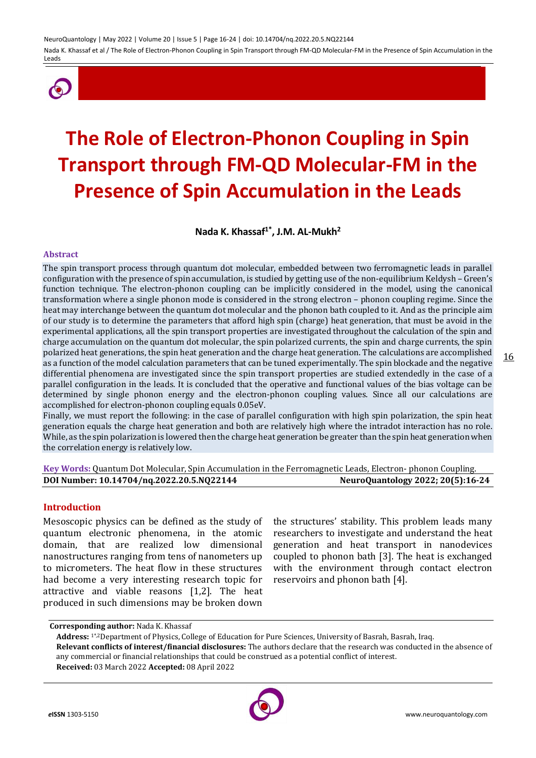

# **The Role of Electron-Phonon Coupling in Spin Transport through FM-QD Molecular-FM in the Presence of Spin Accumulation in the Leads**

**Nada K. Khassaf1\* , J.M. AL-Mukh<sup>2</sup>**

#### **Abstract**

The spin transport process through quantum dot molecular, embedded between two ferromagnetic leads in parallel configuration with the presence of spin accumulation, is studied by getting use of the non-equilibrium Keldysh – Green's function technique. The electron-phonon coupling can be implicitly considered in the model, using the canonical transformation where a single phonon mode is considered in the strong electron – phonon coupling regime. Since the heat may interchange between the quantum dot molecular and the phonon bath coupled to it. And as the principle aim of our study is to determine the parameters that afford high spin (charge) heat generation, that must be avoid in the experimental applications, all the spin transport properties are investigated throughout the calculation of the spin and charge accumulation on the quantum dot molecular, the spin polarized currents, the spin and charge currents, the spin polarized heat generations, the spin heat generation and the charge heat generation. The calculations are accomplished as a function of the model calculation parameters that can be tuned experimentally. The spin blockade and the negative differential phenomena are investigated since the spin transport properties are studied extendedly in the case of a parallel configuration in the leads. It is concluded that the operative and functional values of the bias voltage can be determined by single phonon energy and the electron-phonon coupling values. Since all our calculations are accomplished for electron-phonon coupling equals 0.05eV.

Finally, we must report the following: in the case of parallel configuration with high spin polarization, the spin heat generation equals the charge heat generation and both are relatively high where the intradot interaction has no role. While, as the spin polarization is lowered then the charge heat generation be greater than the spin heat generation when the correlation energy is relatively low.

**Key Words:** Quantum Dot Molecular, Spin Accumulation in the Ferromagnetic Leads, Electron- phonon Coupling. **DOI Number: 10.14704/nq.2022.20.5.NQ22144 NeuroQuantology 2022; 20(5):16-24**

# **Introduction**

Mesoscopic physics can be defined as the study of quantum electronic phenomena, in the atomic domain, that are realized low dimensional nanostructures ranging from tens of nanometers up to micrometers. The heat flow in these structures had become a very interesting research topic for attractive and viable reasons [1,2]. The heat produced in such dimensions may be broken down

the structures' stability. This problem leads many researchers to investigate and understand the heat generation and heat transport in nanodevices coupled to phonon bath [3]. The heat is exchanged with the environment through contact electron reservoirs and phonon bath [4].



**Corresponding author:** Nada K. Khassaf

**Address:** 1\*,2Department of Physics, College of Education for Pure Sciences, University of Basrah, Basrah, Iraq. **Relevant conflicts of interest/financial disclosures:** The authors declare that the research was conducted in the absence of

any commercial or financial relationships that could be construed as a potential conflict of interest. **Received:** 03 March 2022 **Accepted:** 08 April 2022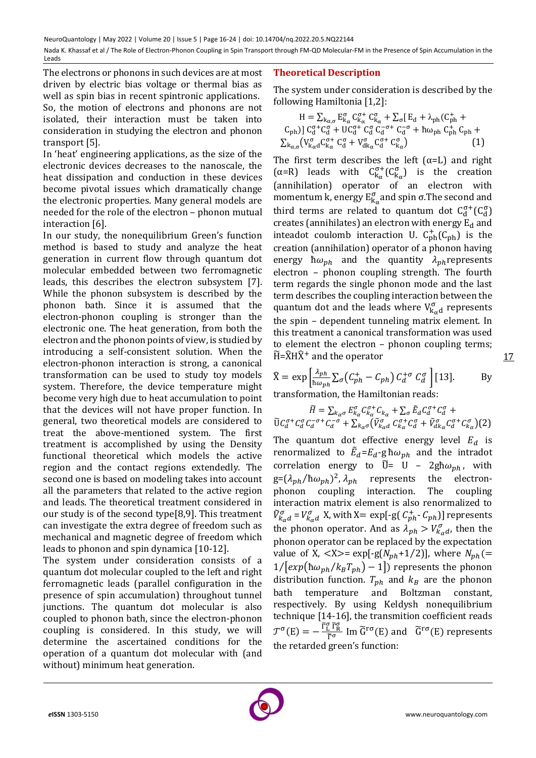The electrons or phonons in such devices are at most driven by electric bias voltage or thermal bias as well as spin bias in recent spintronic applications. So, the motion of electrons and phonons are not isolated, their interaction must be taken into consideration in studying the electron and phonon transport [5].

In 'heat' engineering applications, as the size of the electronic devices decreases to the nanoscale, the heat dissipation and conduction in these devices become pivotal issues which dramatically change the electronic properties. Many general models are needed for the role of the electron – phonon mutual interaction [6].

In our study, the nonequilibrium Green's function method is based to study and analyze the heat generation in current flow through quantum dot molecular embedded between two ferromagnetic leads, this describes the electron subsystem [7]. While the phonon subsystem is described by the phonon bath. Since it is assumed that the electron-phonon coupling is stronger than the electronic one. The heat generation, from both the electron and the phonon points of view, is studied by introducing a self-consistent solution. When the electron-phonon interaction is strong, a canonical transformation can be used to study toy models system. Therefore, the device temperature might become very high due to heat accumulation to point that the devices will not have proper function. In general, two theoretical models are considered to treat the above-mentioned system. The first treatment is accomplished by using the Density functional theoretical which models the active region and the contact regions extendedly. The second one is based on modeling takes into account all the parameters that related to the active region and leads. The theoretical treatment considered in our study is of the second type[8,9]. This treatment can investigate the extra degree of freedom such as mechanical and magnetic degree of freedom which leads to phonon and spin dynamica [10-12].

The system under consideration consists of a quantum dot molecular coupled to the left and right ferromagnetic leads (parallel configuration in the presence of spin accumulation) throughout tunnel junctions. The quantum dot molecular is also coupled to phonon bath, since the electron-phonon coupling is considered. In this study, we will determine the ascertained conditions for the operation of a quantum dot molecular with (and without) minimum heat generation.

# **Theoretical Description**

The system under consideration is described by the following Hamiltonia [1,2]:

$$
H = \sum_{k_{\alpha,\sigma}} E_{k_{\alpha}}^{\sigma} C_{k_{\alpha}}^{\sigma+} C_{k_{\alpha}}^{\sigma} + \sum_{\sigma} [E_d + \lambda_{ph} (C_{ph}^+ + C_{ph})] C_d^{\sigma+} C_d^{\sigma} + U C_d^{\sigma+} C_d^{\sigma} C_d^{-\sigma+} C_d^{-\sigma} + \hbar \omega_{ph} C_{ph}^+ C_{ph} + \sum_{k_{\alpha,\sigma}} (V_{k_{\alpha}d}^{\sigma} C_{k_{\alpha}}^{\sigma+} C_d^{\sigma} + V_{d k_{\alpha}}^{\sigma} C_d^{\sigma+} C_{k_{\alpha}}^{\sigma})
$$
\n(1)

The first term describes the left  $(\alpha=L)$  and right ( $\alpha$ =R) leads with  $C_{k_{\alpha}}^{\sigma+}(C_{k_{\alpha}}^{\sigma})$  is the creation (annihilation) operator of an electron with momentum k, energy  $E_{k_\alpha}^{\sigma}$  and spin  $\sigma$ . The second and third terms are related to quantum dot  $C_d^{\sigma+}(C_d^{\sigma})$ creates (annihilates) an electron with energy  $E_d$  and inteadot coulomb interaction U.  $C_{ph}^+(C_{ph})$  is the creation (annihilation) operator of a phonon having energy  $\hbar \omega_{ph}$  and the quantity  $\lambda_{ph}$  represents electron – phonon coupling strength. The fourth term regards the single phonon mode and the last term describes the coupling interaction between the quantum dot and the leads where  $V_{k_{\alpha}d}^{\sigma}$  represents the spin – dependent tunneling matrix element. In this treatment a canonical transformation was used to element the electron – phonon coupling terms;  $\widetilde{H} = \widehat{X} H \widehat{X}^+$  and the operator

$$
\widehat{X} = \exp\left[\frac{\lambda_{ph}}{\hbar\omega_{ph}}\sum_{\sigma} (C_{ph}^{+} - C_{ph}) C_{d}^{+\sigma} C_{d}^{\sigma}\right][13].
$$
 By  
transformation, the Hamiltonian reads:

17

$$
\widetilde{H} = \sum_{k_{\alpha}\sigma} E_{k_{\alpha}}^{\sigma} C_{k_{\alpha}}^{\sigma+} C_{k_{\alpha}} + \sum_{\sigma} \widetilde{E}_d C_d^{\sigma+} C_d^{\sigma} +
$$
\n
$$
\widetilde{U} C_d^{\sigma+} C_d^{\sigma} C_d^{-\sigma+} C_d^{-\sigma} + \sum_{k_{\alpha}\sigma} (\widetilde{V}_{k_{\alpha}d}^{\sigma} C_k^{\sigma+} C_d^{\sigma} + \widetilde{V}_{dk_{\alpha}}^{\sigma} C_d^{\sigma+} C_{k_{\alpha}}^{\sigma})
$$
\n(2)

The quantum dot effective energy level  $E_d$  is renormalized to  $\tilde{E}_d = E_d - g \hbar \omega_{ph}$  and the intradot correlation energy to  $\tilde{U}$ = U – 2gh $\omega_{ph}$ , with  $g = (\lambda_{ph}/\hbar \omega_{ph})^2$ ,  $\lambda_{ph}$  represents the electronphonon coupling interaction. The coupling interaction matrix element is also renormalized to  $\tilde{V}^{\sigma}_{k_{\alpha}d} = V^{\sigma}_{k_{\alpha}d}$  X, with X= exp[-g(  $C^{+}_{ph}$ - $C_{ph}$ )] represents the phonon operator. And as  $\lambda_{ph} > V_{k_{\alpha}d}^{\sigma}$ , then the phonon operator can be replaced by the expectation value of X,  $\langle X \rangle$  = exp[-g( $N_{ph}$ +1/2)], where  $N_{ph}$ (=  $1/[exp(\hbar\omega_{ph}/k_BT_{ph}) - 1]$  represents the phonon distribution function.  $T_{ph}$  and  $k_B$  are the phonon bath temperature and Boltzman constant, respectively. By using Keldysh nonequilibrium technique [14-16], the transmition coefficient reads  $\mathcal{T}^{\sigma}(E) = -\frac{\tilde{\Gamma}_{L}^{\sigma} \tilde{\Gamma}_{R}^{\sigma}}{\tilde{\Gamma}_{R}^{\sigma}}$  $\frac{\tilde{L}^T \tilde{R}}{\tilde{\Gamma}^{\sigma}}$  Im  $\tilde{G}^{r\sigma}(E)$  and  $\tilde{G}^{r\sigma}(E)$  represents the retarded green's function:

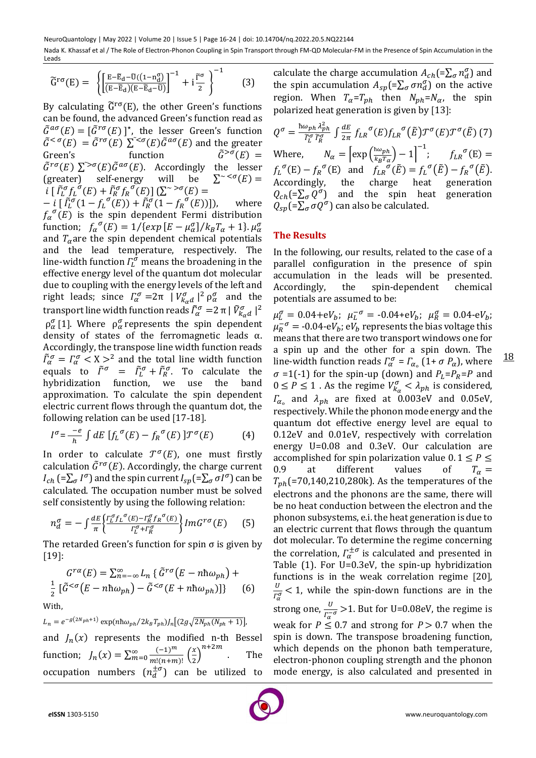$$
\widetilde{G}^{r\sigma}(E) = \left\{ \left[ \frac{E - \widetilde{E}_d - \widetilde{U}((1 - n_d^{\sigma})}{(E - \widetilde{E}_d)(E - \widetilde{E}_d - \widetilde{U})} \right]^{-1} + i \frac{\widetilde{\Gamma}^{\sigma}}{2} \right\}^{-1} \qquad (3)
$$

By calculating  $\tilde{G}^{r\sigma}(E)$ , the other Green's functions can be found, the advanced Green's function read as  $\tilde{G}^{a\sigma}(E) = [\tilde{G}^{r\sigma}(E)]^*$ , the lesser Green's function  $\tilde{G}^{<\sigma}(E) = \tilde{G}^{r\sigma}(E) \sum_{\alpha} \tilde{G}^{a\sigma}(E) \tilde{G}^{a\sigma}(E)$  and the greater Green's function  $\tilde{G}^{> \sigma}(E) =$  $\tilde{G}^{r\sigma}(E) \sum_{ }^{r>\sigma}(E) \tilde{G}^{a\sigma}(E)$ . Accordingly the lesser (greater) self-energy will be  $\sum^{\infty}$  < $\sigma(E)$  =  $i\left[\tilde{\Gamma}_{L}^{\sigma}f_{L}^{\sigma}(E)+\tilde{\Gamma}_{R}^{\sigma}f_{R}^{\sigma}(E)\right](\sum_{0}^{+\infty}\sigma(E))=$ 

 $-i \left[ \tilde{f}_L^{\sigma}(1 - f_L^{\sigma}(E)) + \tilde{f}_R^{\sigma}(1 - f_R^{\sigma}(E)) \right]$ , where  $f_\alpha^{\sigma}(E)$  is the spin dependent Fermi distribution function;  $f_{\alpha}^{\ \sigma}(E) = 1 / \{ exp [E - \mu_{\alpha}^{\sigma}] / k_{B} T_{\alpha} + 1 \}$ .  $\mu_{\alpha}^{\sigma}$ and  $T_\alpha$  are the spin dependent chemical potentials and the lead temperature, respectively. The line-width function  $\mathcal{L}^{\sigma}_{L}$  means the broadening in the effective energy level of the quantum dot molecular due to coupling with the energy levels of the left and right leads; since  $\Gamma_{\alpha}^{\sigma} = 2\pi |V_{k_{\alpha}d}^{\sigma}|^2 \rho_{\alpha}^{\sigma}$  and the transport line width function reads  $\tilde{\Gamma}^{\sigma}_{\alpha} =$  2 π |  $\tilde{V}^{\sigma}_{k_{\alpha}d}$  |  $^2$  $\rho_{\alpha}^{\sigma}$ [1]. Where  $\rho_{\alpha}^{\sigma}$  represents the spin dependent density of states of the ferromagnetic leads  $\alpha$ . Accordingly, the transpose line width function reads  $\tilde{\Gamma}^{\sigma}_{\alpha} = \Gamma^{\sigma}_{\alpha} < X >^2$  and the total line width function equals to  $\tilde{\Gamma}^{\sigma} = \tilde{\Gamma}^{\sigma}_L + \tilde{\Gamma}^{\sigma}_R$ . To calculate the hybridization function, we use the band approximation. To calculate the spin dependent electric current flows through the quantum dot, the following relation can be used  $[17-18]$ .

$$
I^{\sigma} = \frac{-e}{h} \int dE \left[ f_L^{\sigma}(E) - f_R^{\sigma}(E) \right] \mathcal{T}^{\sigma}(E) \tag{4}
$$

In order to calculate  $\mathcal{T}^{\sigma}(E)$ , one must firstly calculation  $\tilde{G}^{r\sigma}(E)$ . Accordingly, the charge current  $I_{ch}$  (= $\sum_{\sigma} I^{\sigma}$ ) and the spin current  $I_{sp}$ (= $\sum_{\sigma} \sigma I^{\sigma}$ ) can be calculated. The occupation number must be solved self consistently by using the following relation:

$$
n_d^{\sigma} = -\int \frac{dE}{\pi} \left\{ \frac{\Gamma_L^{\sigma} f_L^{\sigma}(E) - \Gamma_R^{\sigma} f_R^{\sigma}(E)}{\Gamma_L^{\sigma} + \Gamma_R^{\sigma}} \right\} Im G^{r\sigma}(E) \tag{5}
$$

The retarded Green's function for spin  $\sigma$  is given by  $[19]$ :

$$
G^{r\alpha}(E) = \sum_{n=-\infty}^{\infty} L_n \left\{ \tilde{G}^{r\sigma}(E - n\hbar\omega_{ph}) + \frac{1}{2} \left[ \tilde{G}^{<\sigma}(E - n\hbar\omega_{ph}) - \tilde{G}^{<\sigma}(E + n\hbar\omega_{ph}) \right] \right\} \tag{6}
$$
  
With,

$$
L_n = e^{-g(2N_{ph}+1)} \exp(n\hbar\omega_{ph}/2k_B T_{ph})J_n[(2g\sqrt{2N_{ph}(N_{ph}+1)}],
$$

and  $J_n(x)$  represents the modified n-th Bessel function;  $J_n(x) = \sum_{m=0}^{\infty} \frac{(-1)^m}{m!(n+m)}$  $\frac{(-1)^m}{m!(n+m)!} \left(\frac{x}{2}\right)$  $_{m=0}^{\infty}\frac{(-1)^{m}}{m!(n+m)!}\left(\frac{x}{2}\right)^{n+2m}$ . The occupation numbers  $(n_d^{\pm \sigma})$  can be utilized to calculate the charge accumulation  $A_{ch} = \sum_{\sigma} n_d^{\sigma}$  and the spin accumulation  $A_{sp} = \sum_{\sigma} \sigma n_d^{\sigma}$  on the active region. When  $T_{\alpha} = T_{ph}$  then  $N_{ph} = N_{\alpha}$ , the spin polarized heat generation is given by  $[13]$ :

$$
Q^{\sigma} = \frac{\hbar \omega_{ph} \lambda_{ph}^2}{\tilde{r}_L^{\sigma} \tilde{r}_R^{\sigma}} \int \frac{dE}{2\pi} f_{LR}^{\sigma}(E) f_{LR}^{\sigma}(E) \mathcal{T}^{\sigma}(E) \mathcal{T}^{\sigma}(E) \tag{7}
$$
  
Where, 
$$
N_{\alpha} = \left[ \exp\left(\frac{\hbar \omega_{ph}}{k_B T_{\alpha}}\right) - 1 \right]^{-1}; \qquad f_{LR}^{\sigma}(E) =
$$

$$
f_L^{\sigma}(E) - f_R^{\sigma}(E) \text{ and } f_{LR}^{\sigma}(E) = f_L^{\sigma}(E) - f_R^{\sigma}(E).
$$
Accordingly, the charge heat generation  

$$
Q_{ch} = \sum_{\sigma} Q^{\sigma} \text{ and the spin heat generation}
$$

$$
Q_{sp} = \sum_{\sigma} Q^{\sigma} \text{ can also be calculated.}
$$

# **The Results**

In the following, our results, related to the case of a parallel configuration in the presence of spin accumulation in the leads will be presented. Accordingly, the spin-dependent chemical potentials are assumed to be:

 $\mu_L^{\sigma} = 0.04 + eV_b; \ \mu_L^{-\sigma} = -0.04 + eV_b; \ \mu_R^{\sigma} = 0.04 - eV_b;$  $\mu_R^{-\sigma} = -0.04$ -e $V_b$ ; e $V_b$  represents the bias voltage this means that there are two transport windows one for a spin up and the other for a spin down. The line-width function reads  $\Gamma_\alpha^\sigma = \Gamma_{\alpha_0}$  (1+  $\sigma$   $P_\alpha$ ), where  $\sigma$  =1(-1) for the spin-up (down) and  $P_L = P_R = P$  and  $0 \le P \le 1$ . As the regime  $V_{k_{\alpha}}^{\sigma} < \lambda_{ph}$  is considered,  $\Gamma_{\alpha}$  and  $\lambda_{ph}$  are fixed at 0.003eV and 0.05eV, respectively. While the phonon mode energy and the quantum dot effective energy level are equal to 0.12eV and 0.01eV, respectively with correlation energy U=0.08 and 0.3eV. Our calculation are accomplished for spin polarization value  $0.1 \leq P \leq$ 0.9 at different values of  $T_{\alpha} =$  $T_{nh}$ (=70,140,210,280k). As the temperatures of the electrons and the phonons are the same, there will be no heat conduction between the electron and the phonon subsystems, e.i. the heat generation is due to an electric current that flows through the quantum dot molecular. To determine the regime concerning the correlation,  $\Gamma_{\alpha}^{\pm \sigma}$  is calculated and presented in Table (1). For U=0.3eV, the spin-up hybridization functions is in the weak correlation regime  $[20]$ , U  $\frac{\sigma}{\Gamma_{\alpha}^{\sigma}}$  < 1, while the spin-down functions are in the strong one,  $\frac{U}{T_{\alpha}^{-\sigma}}$  > 1. But for U=0.08eV, the regime is weak for  $P \le 0.7$  and strong for  $P > 0.7$  when the spin is down. The transpose broadening function, which depends on the phonon bath temperature, electron-phonon coupling strength and the phonon mode energy, is also calculated and presented in

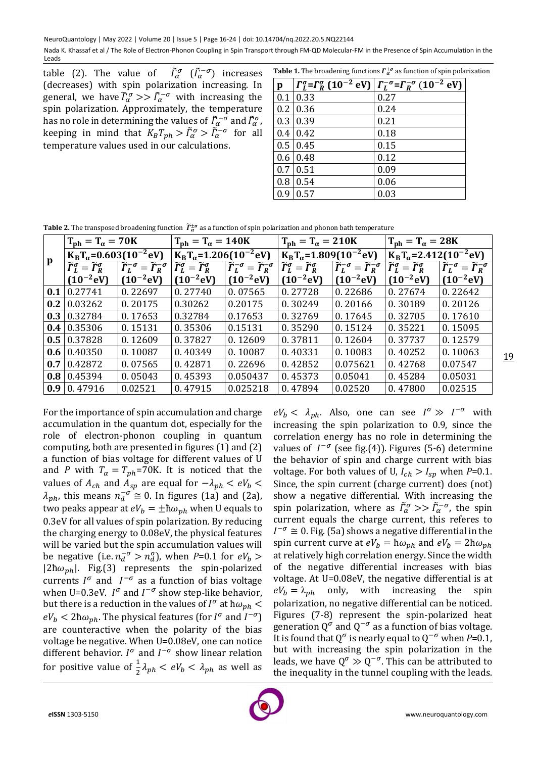Nada K. Khassaf et al / The Role of Electron-Phonon Coupling in Spin Transport through FM-QD Molecular-FM in the Presence of Spin Accumulation in the Leads

table (2). The value of  $\tilde{I}_{\alpha}^{\sigma}$  ( $\tilde{I}_{\alpha}^{-\sigma}$ ) increases (decreases) with spin polarization increasing. In general, we have  $\widetilde{I}_{\alpha}^{\sigma} \gg \widetilde{I}_{\alpha}^{-\sigma}$  with increasing the spin polarization. Approximately, the temperature has no role in determining the values of  $\tilde{\varGamma}^{-\sigma}_\alpha$  and  $\tilde{\varGamma}^{\sigma}_\alpha$  , keeping in mind that  $K_B T_{ph} > \tilde{\Gamma}^{\sigma}_\alpha > \tilde{\Gamma}^{-\sigma}_\alpha$  for all temperature values used in our calculations.

**Table 1.** The broadening functions  $\Gamma_{\alpha}^{\pm \sigma}$  as function of spin polarization

| $\mathbf{p}$ | $\Gamma_L^{\sigma} = \Gamma_R^{\sigma} (10^{-2} \text{ eV})$ | $\Gamma_L^{-\sigma} = \Gamma_R^{-\sigma} (10^{-2} \text{ eV})$ |
|--------------|--------------------------------------------------------------|----------------------------------------------------------------|
| 0.1          | 0.33                                                         | 0.27                                                           |
| 0.2          | 0.36                                                         | 0.24                                                           |
| 0.3          | 0.39                                                         | 0.21                                                           |
| 0.4          | 0.42                                                         | 0.18                                                           |
| 0.5          | 0.45                                                         | 0.15                                                           |
| 0.6          | 0.48                                                         | 0.12                                                           |
| 0.7          | 0.51                                                         | 0.09                                                           |
| 0.8          | 0.54                                                         | 0.06                                                           |
| 0.9          | 0.57                                                         | 0.03                                                           |

**Table 2.** The transposed broadening function  $\widetilde{T}_{\overline{a}}^{\pm \sigma}$  as a function of spin polarization and phonon bath temperature

|     | $T_{ph} = T_{\alpha} = 70K$                                       |                                                                       | $T_{\rm ph} = T_{\alpha} = 140$ K                                 |                                                                   | $T_{\rm ph} = T_{\alpha} = 210$ K                                   |                                                                   | $T_{ph} = T_{\alpha} = 28K$                                       |                                                                   |
|-----|-------------------------------------------------------------------|-----------------------------------------------------------------------|-------------------------------------------------------------------|-------------------------------------------------------------------|---------------------------------------------------------------------|-------------------------------------------------------------------|-------------------------------------------------------------------|-------------------------------------------------------------------|
|     | $K_{\rm B}T_{\alpha}$ =0.603(10 <sup>-2</sup> eV)                 |                                                                       | $K_{\rm B}T_{\alpha}$ =1.206(10 <sup>-2</sup> eV)                 |                                                                   | $K_{\rm B}T_{\alpha}$ =1.809(10 <sup>-2</sup> eV)                   |                                                                   | $K_{\rm B}T_{\alpha}$ =2.412(10 <sup>-2</sup> eV)                 |                                                                   |
| p   | $\widetilde{\Gamma}_{I}^{\sigma}=\widetilde{\Gamma}_{R}^{\sigma}$ | $\widetilde{\Gamma}_{L}^{-\sigma} = \widetilde{\Gamma}_{R}^{-\sigma}$ | $\widetilde{\Gamma}_{L}^{\sigma}=\widetilde{\Gamma}_{R}^{\sigma}$ | $\widetilde{\Gamma}_L^{-\sigma} = \widetilde{\Gamma}_R^{-\sigma}$ | $\widetilde{\Gamma}_{L}^{\sigma} = \widetilde{\Gamma}_{R}^{\sigma}$ | $\widetilde{\Gamma}_L^{-\sigma} = \widetilde{\Gamma}_R^{-\sigma}$ | $\widetilde{\Gamma}_{L}^{\sigma}=\widetilde{\Gamma}_{R}^{\sigma}$ | $\widetilde{\Gamma}_L^{-\sigma} = \widetilde{\Gamma}_R^{-\sigma}$ |
|     | $(10^{-2}$ eV)                                                    | $(10^{-2}$ eV)                                                        | $(10^{-2}$ eV)                                                    | $(10^{-2}$ eV)                                                    | $(10^{-2}$ eV)                                                      | $(10^{-2}$ eV)                                                    | $(10^{-2}$ eV)                                                    | $(10^{-2}$ eV)                                                    |
| 0.1 | 0.27741                                                           | 0.22697                                                               | 0.27740                                                           | 0.07565                                                           | 0.27728                                                             | 0.22686                                                           | 0.27674                                                           | 0.22642                                                           |
| 0.2 | 0.03262                                                           | 0.20175                                                               | 0.30262                                                           | 0.20175                                                           | 0.30249                                                             | 0.20166                                                           | 0.30189                                                           | 0.20126                                                           |
|     | $0.3 \mid 0.32784$                                                | 0.17653                                                               | 0.32784                                                           | 0.17653                                                           | 0.32769                                                             | 0.17645                                                           | 0.32705                                                           | 0.17610                                                           |
|     | $0.4 \mid 0.35306$                                                | 0.15131                                                               | 0.35306                                                           | 0.15131                                                           | 0.35290                                                             | 0.15124                                                           | 0.35221                                                           | 0.15095                                                           |
|     | $0.5 \mid 0.37828$                                                | 0.12609                                                               | 0.37827                                                           | 0.12609                                                           | 0.37811                                                             | 0.12604                                                           | 0.37737                                                           | 0.12579                                                           |
|     | $0.6 \mid 0.40350$                                                | 0.10087                                                               | 0.40349                                                           | 0.10087                                                           | 0.40331                                                             | 0.10083                                                           | 0.40252                                                           | 0.10063                                                           |
|     | $0.7 \mid 0.42872$                                                | 0.07565                                                               | 0.42871                                                           | 0.22696                                                           | 0.42852                                                             | 0.075621                                                          | 0.42768                                                           | 0.07547                                                           |
|     | $0.8 \mid 0.45394$                                                | 0.05043                                                               | 0.45393                                                           | 0.050437                                                          | 0.45373                                                             | 0.05041                                                           | 0.45284                                                           | 0.05031                                                           |
|     | $0.9 \mid 0.47916$                                                | 0.02521                                                               | 0.47915                                                           | 0.025218                                                          | 0.47894                                                             | 0.02520                                                           | 0.47800                                                           | 0.02515                                                           |

For the importance of spin accumulation and charge accumulation in the quantum dot, especially for the role of electron-phonon coupling in quantum computing, both are presented in figures (1) and (2) a function of bias voltage for different values of U and *P* with  $T_{\alpha} = T_{ph} = 70$ K. It is noticed that the values of  $A_{ch}$  and  $A_{sp}$  are equal for  $-\lambda_{ph} < eV_b$  $\lambda_{ph}$ , this means  $n_d^{-\sigma} \cong 0$ . In figures (1a) and (2a), two peaks appear at  $eV_h = \pm \hbar \omega_{vh}$  when U equals to 0.3eV for all values of spin polarization. By reducing the charging energy to 0.08eV, the physical features will be varied but the spin accumulation values will be negative (i.e.  $n_d^{-\sigma} > n_d^{\sigma}$ ), when *P*=0.1 for  $eV_b >$  $|2\hbar\omega_{ph}|$ . Fig.(3) represents the spin-polarized currents  $I^{\sigma}$  and  $I^{-\sigma}$  as a function of bias voltage when U=0.3eV.  $I^{\sigma}$  and  $I^{-\sigma}$  show step-like behavior, but there is a reduction in the values of  $I^{\sigma}$  at  $\hbar\omega_{ph}$   $<$  $eV_b < 2\hbar\omega_{ph}$ . The physical features (for  $I^{\sigma}$  and  $I^{-\sigma}$ ) are counteractive when the polarity of the bias voltage be negative. When U=0.08eV, one can notice different behavior.  $I^{\sigma}$  and  $I^{-\sigma}$  show linear relation for positive value of  $\frac{1}{2}\lambda_{ph} < eV_b < \lambda_{ph}$  as well as  $eV_b < \lambda_{ph}$ . Also, one can see  $I^{\sigma} \gg I^{-\sigma}$  with increasing the spin polarization to 0.9, since the correlation energy has no role in determining the values of  $I^{-\sigma}$  (see fig.(4)). Figures (5-6) determine the behavior of spin and charge current with bias voltage. For both values of U,  $I_{ch} > I_{sp}$  when  $P=0.1$ . Since, the spin current (charge current) does (not) show a negative differential. With increasing the spin polarization, where as  $\tilde{\Gamma}^{\sigma}_{\alpha} >> \tilde{\Gamma}^{-\sigma}_{\alpha}$ , the spin current equals the charge current, this referes to  $I^{-\sigma}$  ≅ 0. Fig. (5a) shows a negative differential in the spin current curve at  $eV_b = \hbar \omega_{ph}$  and  $eV_b = 2\hbar \omega_{ph}$ at relatively high correlation energy. Since the width of the negative differential increases with bias voltage. At U=0.08eV, the negative differential is at  $eV_b = \lambda_{ph}$  only, with increasing the spin polarization, no negative differential can be noticed. Figures (7-8) represent the spin-polarized heat generation  $Q^{\sigma}$  and  $Q^{-\sigma}$  as a function of bias voltage. It is found that  $Q^{\sigma}$  is nearly equal to  $Q^{-\sigma}$  when *P*=0.1, but with increasing the spin polarization in the leads, we have  $Q^{\sigma} \gg Q^{-\sigma}$ . This can be attributed to the inequality in the tunnel coupling with the leads.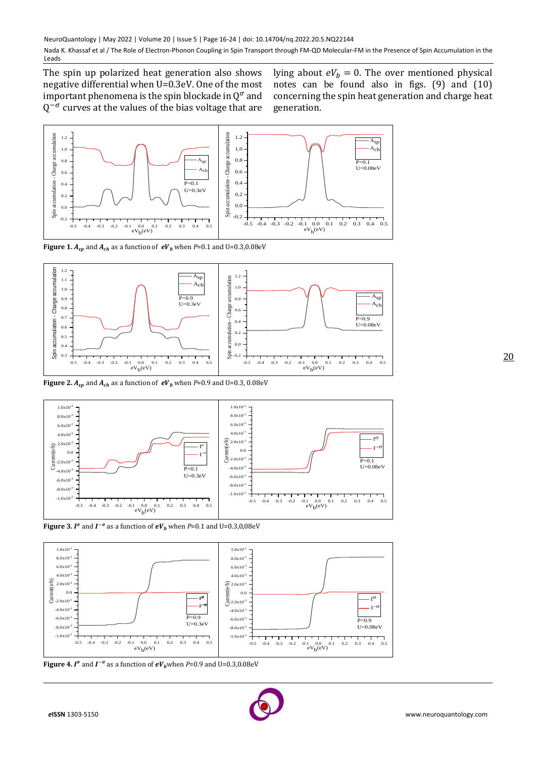The spin up polarized heat generation also shows negative differential when U=0.3eV. One of the most important phenomena is the spin blockade in  $Q^{\sigma}$  and  $Q^{-\sigma}$  curves at the values of the bias voltage that are

lying about  $eV_b = 0$ . The over mentioned physical notes can be found also in figs. (9) and (10) concerning the spin heat generation and charge heat generation.



**Figure 1.**  $A_{sp}$  and  $A_{ch}$  as a function of  $eV_b$  when  $P=0.1$  and  $U=0.3,0.08$ eV



**Figure 2.**  $A_{sp}$  and  $A_{ch}$  as a function of  $eV_b$  when  $P=0.9$  and U=0.3, 0.08eV







**Figure 4. I<sup>o</sup>** and  $I^{-\sigma}$  as a function of  $eV_b$  when P=0.9 and U=0.3,0.08eV

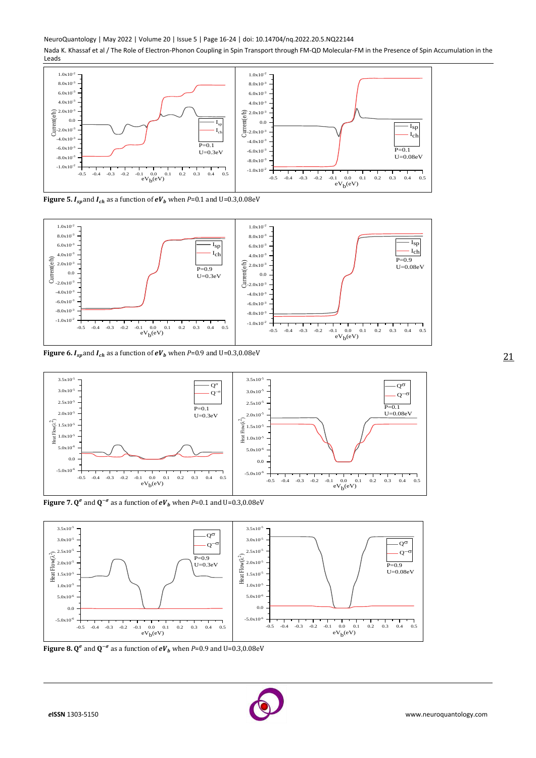NeuroQuantology | May 2022 | Volume 20 | Issue 5 | Page 16-24 | doi: 10.14704/nq.2022.20.5.NQ22144

Nada K. Khassaf et al / The Role of Electron-Phonon Coupling in Spin Transport through FM-QD Molecular-FM in the Presence of Spin Accumulation in the Leads



**Figure 5.**  $I_{sp}$  and  $I_{ch}$  as a function of  $eV_b$  when  $P=0.1$  and  $U=0.3,0.08eV$ 



**Figure 6.**  $I_{sp}$  and  $I_{ch}$  as a function of  $eV_b$  when  $P=0.9$  and  $U=0.3,0.08$ eV



**Figure** 7.  $Q^{\sigma}$  and  $Q^{-\sigma}$  as a function of  $eV_b$  when *P*=0.1 and U=0.3,0.08eV



**Figure 8.**  $Q^{\sigma}$  and  $Q^{-\sigma}$  as a function of  $eV_b$  when P=0.9 and U=0.3,0.08eV

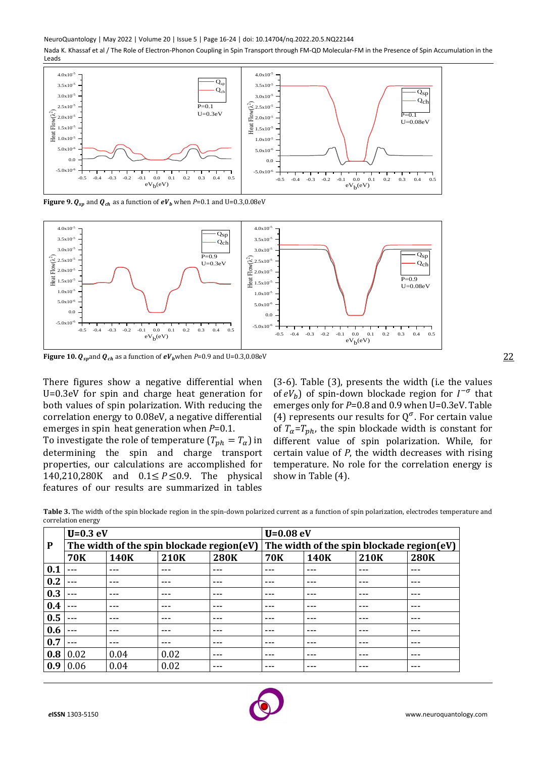NeuroQuantology | May 2022 | Volume 20 | Issue 5 | Page 16-24 | doi: 10.14704/nq.2022.20.5.NQ22144

Nada K. Khassaf et al / The Role of Electron-Phonon Coupling in Spin Transport through FM-QD Molecular-FM in the Presence of Spin Accumulation in the Leads



**Figure 9.**  $Q_{sp}$  and  $Q_{ch}$  as a function of  $eV_b$  when  $P=0.1$  and U=0.3,0.08eV



**Figure 10.**  $Q_{sp}$  and  $Q_{ch}$  as a function of  $eV_b$  when  $P=0.9$  and  $U=0.3,0.08$ eV

There figures show a negative differential when U=0.3eV for spin and charge heat generation for both values of spin polarization. With reducing the correlation energy to 0.08eV, a negative differential emerges in spin heat generation when *P*=0.1.

To investigate the role of temperature  $(T_{ph} = T_{\alpha})$  in determining the spin and charge transport properties, our calculations are accomplished for 140,210,280K and 0.1≤ *P* ≤0.9. The physical features of our results are summarized in tables

(3-6). Table (3), presents the width (i.e the values of  $eV_b$ ) of spin-down blockade region for  $I^{-\sigma}$  that emerges only for *P*=0.8 and 0.9 when U=0.3eV. Table (4) represents our results for  $Q^{\sigma}$ . For certain value of  $T_a = T_{ph}$ , the spin blockade width is constant for different value of spin polarization. While, for certain value of *P*, the width decreases with rising temperature. No role for the correlation energy is show in Table (4).

**Table 3.** The width of the spin blockade region in the spin-down polarized current as a function of spin polarization, electrodes temperature and correlation energy

|     | $U=0.3$ eV |      |                                           |             | $U = 0.08$ eV                             |         |             |             |  |
|-----|------------|------|-------------------------------------------|-------------|-------------------------------------------|---------|-------------|-------------|--|
| P   |            |      | The width of the spin blockade region(eV) |             | The width of the spin blockade region(eV) |         |             |             |  |
|     | <b>70K</b> | 140K | 210K                                      | <b>280K</b> | <b>70K</b>                                | 140K    | <b>210K</b> | <b>280K</b> |  |
| 0.1 | $- - -$    | ---  | $---$                                     | ---         | ---                                       | ---     | $--$        | $---$       |  |
| 0.2 | $- - -$    | ---  | $---$                                     | ---         | $---$                                     | $- - -$ | ---         | $---$       |  |
| 0.3 | $- - -$    | ---  | $---$                                     | ---         | $---$                                     | $- - -$ | ---         | $---$       |  |
| 0.4 | $- - -$    |      | $---$                                     | ---         | $--$                                      | ---     | ---         | $---$       |  |
| 0.5 | $- - -$    | ---  | $---$                                     | ---         | $--$                                      | ---     | $--$        | ---         |  |
| 0.6 |            | ---  | $---$                                     | ---         | $---$                                     | $- - -$ | $--$        | $---$       |  |
| 0.7 | $- - -$    | ---  | $---$                                     | ---         | $---$                                     | ---     | $--$        | $---$       |  |
| 0.8 | 0.02       | 0.04 | 0.02                                      | ---         | $---$                                     | ---     | $---$       | $---$       |  |
| 0.9 | 0.06       | 0.04 | 0.02                                      |             | ---                                       | ---     |             | $- - -$     |  |

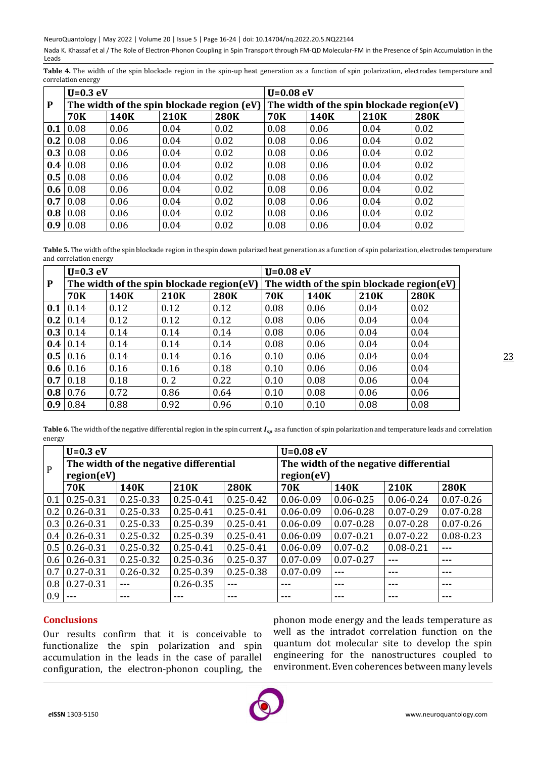NeuroQuantology | May 2022 | Volume 20 | Issue 5 | Page 16-24 | doi: 10.14704/nq.2022.20.5.NQ22144

Nada K. Khassaf et al / The Role of Electron-Phonon Coupling in Spin Transport through FM-QD Molecular-FM in the Presence of Spin Accumulation in the Leads

Table 4. The width of the spin blockade region in the spin-up heat generation as a function of spin polarization, electrodes temperature and correlation energy

|     | $U=0.3$ eV      |      |                                            |             | $U = 0.08$ eV                             |      |             |             |  |
|-----|-----------------|------|--------------------------------------------|-------------|-------------------------------------------|------|-------------|-------------|--|
| P   |                 |      | The width of the spin blockade region (eV) |             | The width of the spin blockade region(eV) |      |             |             |  |
|     | <b>70K</b>      | 140K | 210K                                       | <b>280K</b> | <b>70K</b>                                | 140K | <b>210K</b> | <b>280K</b> |  |
| 0.1 | 0.08            | 0.06 | 0.04                                       | 0.02        | 0.08                                      | 0.06 | 0.04        | 0.02        |  |
| 0.2 | 0.08            | 0.06 | 0.04                                       | 0.02        | 0.08                                      | 0.06 | 0.04        | 0.02        |  |
| 0.3 | $\mid$ 0.08     | 0.06 | 0.04                                       | 0.02        | 0.08                                      | 0.06 | 0.04        | 0.02        |  |
| 0.4 | 0.08            | 0.06 | 0.04                                       | 0.02        | 0.08                                      | 0.06 | 0.04        | 0.02        |  |
| 0.5 | 0.08            | 0.06 | 0.04                                       | 0.02        | 0.08                                      | 0.06 | 0.04        | 0.02        |  |
| 0.6 | $\mid$ 0.08     | 0.06 | 0.04                                       | 0.02        | 0.08                                      | 0.06 | 0.04        | 0.02        |  |
| 0.7 | 0.08            | 0.06 | 0.04                                       | 0.02        | 0.08                                      | 0.06 | 0.04        | 0.02        |  |
|     | $0.8 \mid 0.08$ | 0.06 | 0.04                                       | 0.02        | 0.08                                      | 0.06 | 0.04        | 0.02        |  |
| 0.9 | 0.08            | 0.06 | 0.04                                       | 0.02        | 0.08                                      | 0.06 | 0.04        | 0.02        |  |

**Table 5.** The width of the spin blockade region in the spin down polarized heat generation as a function of spin polarization, electrodes temperature and correlation energy

|     | $U=0.3$ eV         |      |                                           |             | $U = 0.08$ eV                             |             |             |             |  |
|-----|--------------------|------|-------------------------------------------|-------------|-------------------------------------------|-------------|-------------|-------------|--|
| P   |                    |      | The width of the spin blockade region(eV) |             | The width of the spin blockade region(eV) |             |             |             |  |
|     | <b>70K</b>         | 140K | 210K                                      | <b>280K</b> | <b>70K</b>                                | <b>140K</b> | <b>210K</b> | <b>280K</b> |  |
| 0.1 | $\vert$ 0.14       | 0.12 | 0.12                                      | 0.12        | 0.08                                      | 0.06        | 0.04        | 0.02        |  |
|     | $0.2 \mid 0.14$    | 0.12 | 0.12                                      | 0.12        | 0.08                                      | 0.06        | 0.04        | 0.04        |  |
|     | $0.3 \mid 0.14$    | 0.14 | 0.14                                      | 0.14        | 0.08                                      | 0.06        | 0.04        | 0.04        |  |
|     | $0.4 \mid 0.14$    | 0.14 | 0.14                                      | 0.14        | 0.08                                      | 0.06        | 0.04        | 0.04        |  |
|     | $0.5 \mid 0.16$    | 0.14 | 0.14                                      | 0.16        | 0.10                                      | 0.06        | 0.04        | 0.04        |  |
|     | $0.6 \,   \, 0.16$ | 0.16 | 0.16                                      | 0.18        | 0.10                                      | 0.06        | 0.06        | 0.04        |  |
|     | $0.7$ 0.18         | 0.18 | 0.2                                       | 0.22        | 0.10                                      | 0.08        | 0.06        | 0.04        |  |
|     | $0.8 \mid 0.76$    | 0.72 | 0.86                                      | 0.64        | 0.10                                      | 0.08        | 0.06        | 0.06        |  |
|     | $0.9 \mid 0.84$    | 0.88 | 0.92                                      | 0.96        | 0.10                                      | 0.10        | 0.08        | 0.08        |  |

**Table 6.** The width of the negative differential region in the spin current  $I_{sp}$  as a function of spin polarization and temperature leads and correlation energy

|              | $U=0.3$ eV                             |               |               |               | $U=0.08$ eV                            |               |               |               |
|--------------|----------------------------------------|---------------|---------------|---------------|----------------------------------------|---------------|---------------|---------------|
| $\mathbf{P}$ | The width of the negative differential |               |               |               | The width of the negative differential |               |               |               |
|              | region(eV)                             |               |               |               | region(eV)                             |               |               |               |
|              | <b>70K</b>                             | 140K          | 210K          | <b>280K</b>   | <b>70K</b>                             | 140K          | 210K          | <b>280K</b>   |
| 0.1          | $0.25 - 0.31$                          | $0.25 - 0.33$ | $0.25 - 0.41$ | $0.25 - 0.42$ | $0.06 - 0.09$                          | $0.06 - 0.25$ | $0.06 - 0.24$ | $0.07 - 0.26$ |
| 0.2          | $0.26 - 0.31$                          | $0.25 - 0.33$ | $0.25 - 0.41$ | $0.25 - 0.41$ | $0.06 - 0.09$                          | $0.06 - 0.28$ | $0.07 - 0.29$ | $0.07 - 0.28$ |
| 0.3          | $0.26 - 0.31$                          | $0.25 - 0.33$ | $0.25 - 0.39$ | $0.25 - 0.41$ | $0.06 - 0.09$                          | $0.07 - 0.28$ | $0.07 - 0.28$ | $0.07 - 0.26$ |
| 0.4          | $0.26 - 0.31$                          | $0.25 - 0.32$ | $0.25 - 0.39$ | $0.25 - 0.41$ | $0.06 - 0.09$                          | $0.07 - 0.21$ | $0.07 - 0.22$ | $0.08 - 0.23$ |
| 0.5          | $0.26 - 0.31$                          | $0.25 - 0.32$ | $0.25 - 0.41$ | $0.25 - 0.41$ | $0.06 - 0.09$                          | $0.07 - 0.2$  | $0.08 - 0.21$ | ---           |
| 0.6          | $0.26 - 0.31$                          | $0.25 - 0.32$ | $0.25 - 0.36$ | $0.25 - 0.37$ | $0.07 - 0.09$                          | $0.07 - 0.27$ | $- - -$       | ---           |
| 0.7          | $0.27 - 0.31$                          | $0.26 - 0.32$ | $0.25 - 0.39$ | $0.25 - 0.38$ | $0.07 - 0.09$                          | $- - -$       | ---           | ---           |
| 0.8          | $0.27 - 0.31$                          | ---           | $0.26 - 0.35$ | ---           | ---                                    | $- - -$       | ---           | ---           |
| 0.9          |                                        | ---           | ---           | ---           | ---                                    | ---           | ---           | ---           |

# **Conclusions**

Our results confirm that it is conceivable to functionalize the spin polarization and spin accumulation in the leads in the case of parallel configuration, the electron-phonon coupling, the phonon mode energy and the leads temperature as well as the intradot correlation function on the quantum dot molecular site to develop the spin engineering for the nanostructures coupled to environment. Even coherences between many levels